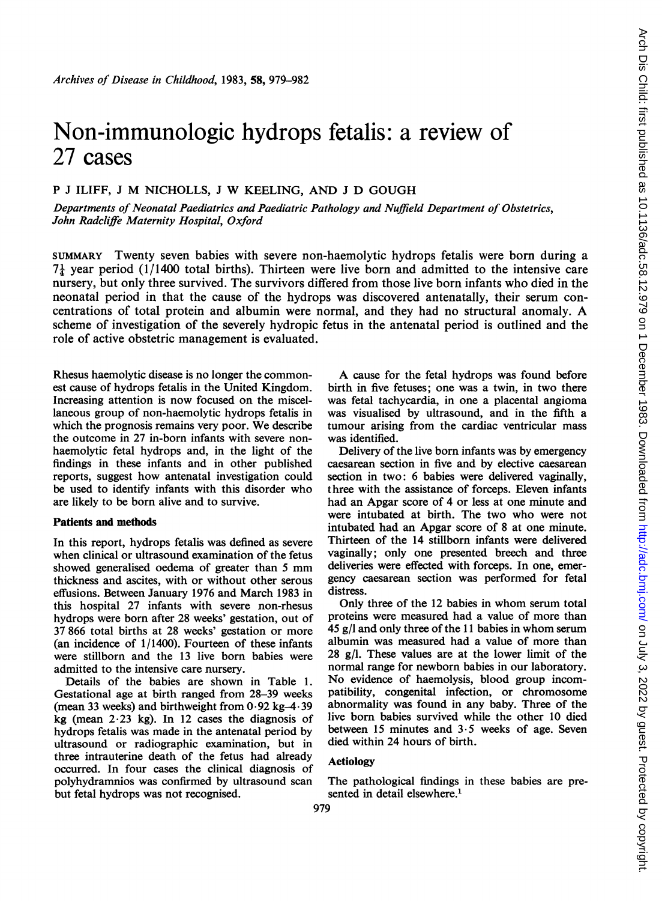# Non-immunologic hydrops fetalis: a review of 27 cases

## <sup>P</sup> <sup>J</sup> ILIFF, <sup>J</sup> M NICHOLLS, <sup>J</sup> W KEELING, AND <sup>J</sup> D GOUGH

Departments of Neonatal Paediatrics and Paediatric Pathology and Nuffield Department of Obstetrics, John Radcliffe Maternity Hospital, Oxford

SUMMARY Twenty seven babies with severe non-haemolytic hydrops fetalis were born during a  $7\frac{1}{4}$  year period (1/1400 total births). Thirteen were live born and admitted to the intensive care nursery, but only three survived. The survivors differed from those live born infants who died in the neonatal period in that the cause of the hydrops was discovered antenatally, their serum concentrations of total protein and albumin were normal, and they had no structural anomaly. A scheme of investigation of the severely hydropic fetus in the antenatal period is outlined and the role of active obstetric management is evaluated.

Rhesus haemolytic disease is no longer the commonest cause of hydrops fetalis in the United Kingdom. Increasing attention is now focused on the miscellaneous group of non-haemolytic hydrops fetalis in which the prognosis remains very poor. We describe the outcome in 27 in-born infants with severe nonhaemolytic fetal hydrops and, in the light of the findings in these infants and in other published reports, suggest how antenatal investigation could be used to identify infants with this disorder who are likely to be born alive and to survive.

#### Patients and methods

In this report, hydrops fetalis was defined as severe when clinical or ultrasound examination of the fetus showed generalised oedema of greater than <sup>5</sup> mm thickness and ascites, with or without other serous effusions. Between January 1976 and March 1983 in this hospital 27 infants with severe non-rhesus hydrops were born after 28 weeks' gestation, out of 37 866 total births at 28 weeks' gestation or more (an incidence of 1/1400). Fourteen of these infants were stillborn and the 13 live born babies were admitted to the intensive care nursery.

Details of the babies are shown in Table 1. Gestational age at birth ranged from 28-39 weeks (mean 33 weeks) and birthweight from  $0.92$  kg-4.39 kg (mean  $2.23$  kg). In 12 cases the diagnosis of hydrops fetalis was made in the antenatal period by ultrasound or radiographic examination, but in three intrauterine death of the fetus had already occurred. In four cases the clinical diagnosis of polyhydramnios was confirmed by ultrasound scan but fetal hydrops was not recognised.

A cause for the fetal hydrops was found before birth in five fetuses; one was a twin, in two there was fetal tachycardia, in one a placental angioma was visualised by ultrasound, and in the fifth a tumour arising from the cardiac ventricular mass was identified.

Delivery of the live born infants was by emergency caesarean section in five and by elective caesarean section in two: 6 babies were delivered vaginally, three with the assistance of forceps. Eleven infants had an Apgar score of 4 or less at one minute and were intubated at birth. The two who were not intubated had an Apgar score of 8 at one minute. Thirteen of the 14 stillborn infants were delivered vaginally; only one presented breech and three deliveries were effected with forceps. In one, emergency caesarean section was performed for fetal distress.

Only three of the <sup>12</sup> babies in whom serum total proteins were measured had a value of more than 45 g/l and only three of the <sup>11</sup> babies in whom serum albumin was measured had a value of more than 28 g/l. These values are at the lower limit of the normal range for newborn babies in our laboratory. No evidence of haemolysis, blood group incompatibility, congenital infection, or chromosome abnormality was found in any baby. Three of the live born babies survived while the other 10 died between 15 minutes and 3-5 weeks of age. Seven died within 24 hours of birth.

### Aetiology

The pathological findings in these babies are presented in detail elsewhere.<sup>1</sup>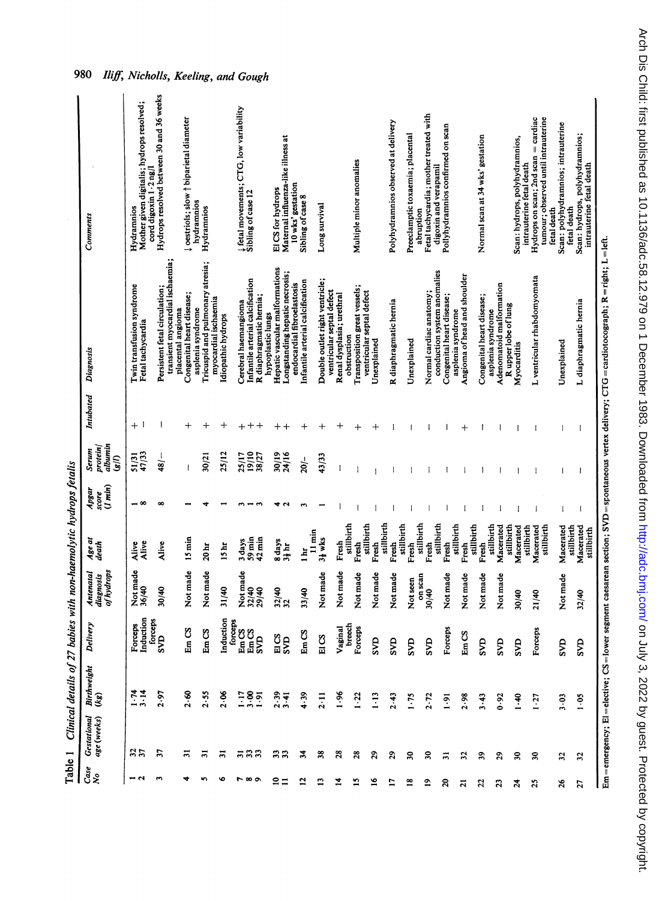| Table 1              |                                   | Clinical details of |                           |                                      | 27 babies with non-haemolytic hydrops fetalis |                           |                                     |                    |                                                                     |                                                                                                |
|----------------------|-----------------------------------|---------------------|---------------------------|--------------------------------------|-----------------------------------------------|---------------------------|-------------------------------------|--------------------|---------------------------------------------------------------------|------------------------------------------------------------------------------------------------|
| $\frac{Case}{No}$    | <b>Gestational</b><br>age (weeks) | Birthweight<br>(kg) | <b>Delivery</b>           | of hydrops<br>Antenatal<br>diagnosis | Age at<br>death                               | (1 min)<br>Apgar<br>score | albumin<br>protein<br>Serum<br>g(t) | Intubated          | Diagnosis                                                           | Comments                                                                                       |
| $-1$                 | 37                                | 1.74                | Induction<br>Forceps      | Not made<br>36/40                    | Alive<br>Alive                                | – ∞                       | 51/31<br>47/33                      | $+$ $\overline{ }$ | Twin transfusion syndrome<br>Fetal tachycardia                      | Mother given digitalis; hydrops resolved;<br>cord digoxin 1 . 2 ng/l<br>Hydramnios             |
| $\mathbf{\tilde{z}}$ | E                                 | 2.97                | forceps<br><b>SVD</b>     | 30/40                                | Alive                                         | $\infty$                  | 48/                                 | 1                  | transient myocardial ischaemia;<br>Persistent fetal circulation;    | Hydrops resolved between 30 and 36 weeks                                                       |
|                      | న                                 | 2.60                | EmCS                      | Not made                             | $15 \text{ min}$                              |                           | $\overline{1}$                      | $\ddot{}$          | Congenital heart disease;<br>asplenia syndrome<br>placental angioma | pestriols; slow $\dagger$ biparietal diameter<br>hydramnios                                    |
|                      | వ                                 | 2.55                | EmCS                      | Not made                             | 20 <sub>hr</sub>                              |                           | 30/21                               | $\, +$             | Tricuspid and pulmonary atresia;<br>myocardial ischaemia            | Hydramnios                                                                                     |
| ৽                    | 5                                 | 2.06                | Induction                 | 31/40                                | 15 <sub>ht</sub>                              |                           | 25/12                               | $\bm{+}$           | Idiopathic hydrops                                                  |                                                                                                |
| <b>1000</b>          | ភនន                               |                     | forceps<br>Em CS<br>Em CS | Not made                             | 3 days                                        |                           | 25/17<br>19/10                      | $\ddot{}$          | Cerebral haemangioma                                                | $\downarrow$ fetal movements; CTG, low variability<br>Sibling of case 12                       |
|                      |                                   | 1785<br>1785        | SVD                       | 32/40<br>29/40                       | $59 \text{min}$<br>$42$ min                   |                           | 8/27                                | $\mathrm{+}$       | Infantile arterial calcification<br>R diaphragmatic hernia;         |                                                                                                |
| ຂ<br>≡               | 33                                | 3.41                | EICS                      | 32/40<br>32                          | 8 days                                        |                           | 30/19<br>24/16                      | $\hspace{0.1mm} +$ | Hepatic vascular malformations<br>hypoplastic lungs                 | El CS for hydrops                                                                              |
|                      |                                   |                     | S <sub>VD</sub>           |                                      | $3\frac{1}{3}$ hr                             |                           |                                     | $\,^+$             | Longstanding hepatic necrosis;<br>endocardial fibroelastosis        | Maternal influenza-like illness at<br>10 wks' gestation                                        |
| $\mathbf{r}$         | z                                 | 4.39                | EmCS                      | 33/40                                | $11 \text{ min}$<br>1H                        |                           | 20/                                 | $\, + \,$          | Infantile arterial calcification                                    | Sibling of case 8                                                                              |
| ⋍                    | 38                                | 2.11                | EICS                      | Not made                             | 31 wks                                        |                           | 43/33                               | +                  | Double outlet right ventricle;                                      | Long survival                                                                                  |
| 74                   | $\boldsymbol{z}$                  | 1.96                | Vaginal                   | Not made                             | Fresh                                         |                           |                                     | +                  | ventricular septal defect<br>Renal dysplasia; urethral              |                                                                                                |
| 2                    | ని                                | 1.22                | breech<br>Forceps         | Not made                             | stillbirth<br>Fresh                           |                           |                                     | $^{\mathrm{+}}$    | Transposition great vessels;<br>obstruction                         | Multiple minor anomalies                                                                       |
| 9                    | $\boldsymbol{5}$                  | 1.13                | gyp                       | Not made                             | stillbirth<br>Fresh                           |                           |                                     | ┿                  | ventricular septal defect<br>Unexplained                            |                                                                                                |
| E                    | 29                                | 2.43                | ŠЮ                        | Not made                             | stillbirth<br>Fresh                           |                           |                                     |                    | R diaphragmatic hernia                                              | Polyhydramnios observed at delivery                                                            |
| $\frac{8}{1}$        | వి                                | $1 - 75$            | SVD                       | Not seen                             | stillbirth<br>Fresh                           |                           |                                     |                    | Unexplained                                                         | Preeclamptic toxaemia; placental                                                               |
| $\overline{a}$       | ន្ល                               | 2.72                | SVD                       | on scan<br>30/40                     | stillbirth<br>Fresh                           |                           | 1                                   |                    | Normal cardiac anatomy;                                             | Fetal tachycardia; mother treated with<br>abruption                                            |
| ຂ                    | నె                                |                     |                           |                                      | stillbirth                                    |                           |                                     |                    | conduction system anomalies                                         | Pollyhydramnios confirmed on scan<br>digoxin and verapamil                                     |
|                      |                                   | $\frac{1}{2}$       | Forceps                   | Not made                             | stillbirth<br>Fresh                           |                           |                                     |                    | Congenital heart disease;<br>asplenia syndrome                      |                                                                                                |
| ត                    | $\mathfrak{z}$                    | 2.98                | EmCS                      | Not made                             | stillbirth<br>Fresh                           |                           |                                     | $\,$               | Angioma of head and shoulder                                        |                                                                                                |
| g                    | వి                                | 3.43                | <b>SVD</b>                | Not made                             | stillbirth<br>Fresh                           |                           |                                     |                    | Congenital heart disease;<br>asplenia syndrome                      | Normal scan at 34 wks' gestation                                                               |
| ន                    | 29                                | 0.92                | <b>SVD</b>                | Not made                             | stillbirth<br>Macerated                       |                           |                                     |                    | Adenomatoid malformation<br>Rupper lobe of lung                     |                                                                                                |
| 24                   | ຂ                                 | 40                  | SVD                       | 30/40                                | Macerated<br>stillbirth                       |                           |                                     |                    | Myocarditis                                                         | Scan: hydrops, polyhydramnios,<br>intrauterine fetal death                                     |
| ដ                    | ຂ                                 | 1.27                | Forceps                   | 21/40                                | stillbirth<br>Macerated                       | I                         |                                     |                    | L ventricular rhabdomyomata                                         | $=$ cardiac<br>tumour; observed until intrauterine<br>Hydrops on scan; 2nd scan<br>fetal death |
| $\frac{8}{3}$        | $\mathfrak{L}$                    | 3.03                | SVD                       | Not made                             | Macerated<br>stillbirth                       |                           |                                     |                    | Unexplained                                                         | Scan: polyhydramnios; intrauterine<br>fetal death                                              |
| 21                   | $\boldsymbol{\mathcal{S}}$        | $6 - 1$             | <b>C</b>                  | 32/40                                | Macerated<br>stillbirth                       |                           |                                     |                    | L diaphragmatic hernia                                              | Scan: hydrops, polyhydramnios;<br>intrauterine fetal death                                     |

Em=emergency; El=elective; CS=lower segment caesarean section; SVD=spontaneous vertex delivery; CTG=cardiotocograph; R=right; L=left.

Arch Dis Child: first published as 10.1136/adc.58.12.979 on 1 December 1983. Downloaded from http://adc.bmj.com/ on July 3, 2022 by guest. Protected by copyright.

980 Iliff, Nicholls, Keeling, and Gough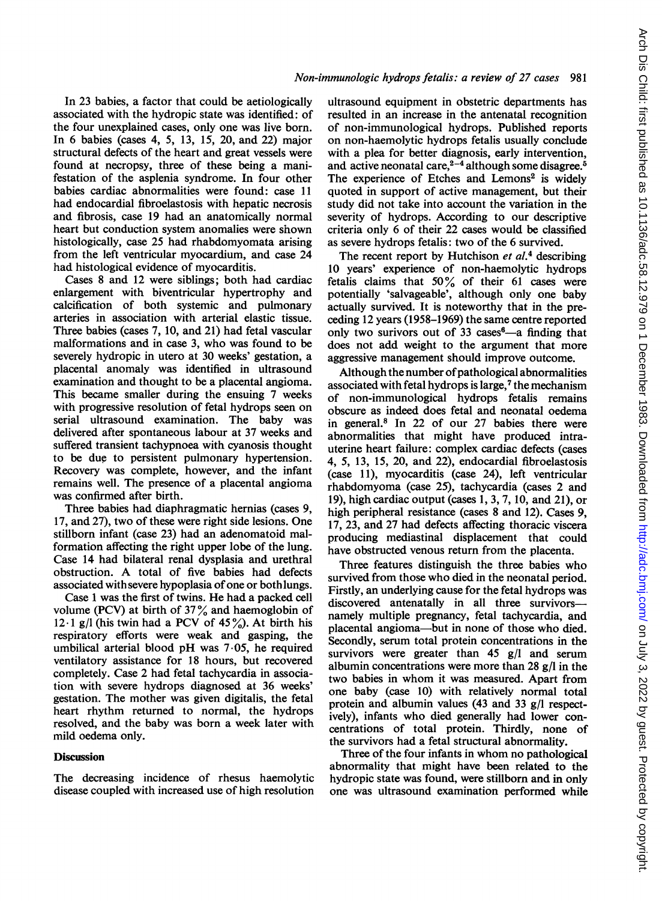In 23 babies, a factor that could be aetiologically associated with the hydropic state was identified: of the four unexplained cases, only one was live born. In 6 babies (cases 4, 5, 13, 15, 20, and 22) major structural defects of the heart and great vessels were found at necropsy, three of these being a manifestation of the asplenia syndrome. In four other babies cardiac abnormalities were found: case 11 had endocardial fibroelastosis with hepatic necrosis and fibrosis, case 19 had an anatomically normal heart but conduction system anomalies were shown histologically, case 25 had rhabdomyomata arising from the left ventricular myocardium, and case 24 had histological evidence of myocarditis.

Cases 8 and 12 were siblings; both had cardiac enlargement with biventricular hypertrophy and calcification of both systemic and pulmonary arteries in association with arterial elastic tissue. Three babies (cases 7, 10, and 21) had fetal vascular malformations and in case 3, who was found to be severely hydropic in utero at 30 weeks' gestation, a placental anomaly was identified in ultrasound examination and thought to be a placental angioma. This became smaller during the ensuing 7 weeks with progressive resolution of fetal hydrops seen on serial ultrasound examination. The baby was delivered after spontaneous labour at 37 weeks and suffered transient tachypnoea with cyanosis thought to be due to persistent pulmonary hypertension. Recovery was complete, however, and the infant remains well. The presence of a placental angioma was confirmed after birth.

Three babies had diaphragmatic hernias (cases 9, 17, and 27), two of these were right side lesions. One stillborn infant (case 23) had an adenomatoid malformation affecting the right upper lobe of the lung. Case 14 had bilateral renal dysplasia and urethral obstruction. A total of five babies had defects associated with severe hypoplasia of one or both lungs.

Case <sup>1</sup> was the first of twins. He had a packed cell volume (PCV) at birth of  $37\%$  and haemoglobin of 12.1 g/l (his twin had a PCV of  $45\%$ ). At birth his respiratory efforts were weak and gasping, the umbilical arterial blood pH was 7.05, he required ventilatory assistance for 18 hours, but recovered completely. Case 2 had fetal tachycardia in association with severe hydrops diagnosed at 36 weeks' gestation. The mother was given digitalis, the fetal heart rhythm returned to normal, the hydrops resolved, and the baby was born a week later with mild oedema only.

#### **Discussion**

The decreasing incidence of rhesus haemolytic disease coupled with increased use of high resolution

ultrasound equipment in obstetric departments has resulted in an increase in the antenatal recognition of non-immunological hydrops. Published reports on non-haemolytic hydrops fetalis usually conclude with a plea for better diagnosis, early intervention, and active neonatal care, $2-4$  although some disagree.<sup>5</sup> The experience of Etches and Lemons<sup>2</sup> is widely quoted in support of active management, but their study did not take into account the variation in the severity of hydrops. According to our descriptive criteria only 6 of their 22 cases would be classified as severe hydrops fetalis: two of the 6 survived.

The recent report by Hutchison  $et$   $al$ <sup>4</sup> describing 10 years' experience of non-haemolytic hydrops fetalis claims that  $50\%$  of their 61 cases were potentially 'salvageable', although only one baby actually survived. It is noteworthy that in the preceding 12 years (1958-1969) the same centre reported only two surivors out of 33 cases $6-$ a finding that does not add weight to the argument that more aggressive management should improve outcome.

Although the number of pathological abnormalities associated with fetal hydrops is large, $<sup>7</sup>$  the mechanism</sup> of non-immunological hydrops fetalis remains obscure as indeed does fetal and neonatal oedema in general.8 In 22 of our 27 babies there were abnormalities that might have produced intrauterine heart failure: complex cardiac defects (cases 4, 5, 13, 15, 20, and 22), endocardial fibroelastosis (case 11), myocarditis (case 24), left ventricular rhabdomyoma (case 25), tachycardia (cases 2 and 19), high cardiac output (cases 1, 3, 7, 10, and 21), or high peripheral resistance (cases 8 and 12). Cases 9, 17, 23, and 27 had defects affecting thoracic viscera producing mediastinal displacement that could have obstructed venous return from the placenta.

Three features distinguish the three babies who survived from those who died in the neonatal period. Firstly, an underlying cause for the fetal hydrops was discovered antenatally in all three survivorsnamely multiple pregnancy, fetal tachycardia, and placental angioma-but in none of those who died. Secondly, serum total protein concentrations in the survivors were greater than 45 g/l and serum albumin concentrations were more than 28 g/l in the two babies in whom it was measured. Apart from one baby (case 10) with relatively normal total protein and albumin values (43 and 33 g/l respectively), infants who died generally had lower concentrations of total protein. Thirdly, none of the survivors had a fetal structural abnormality.

Three of the four infants in whom no pathological abnormality that might have been related to the hydropic state was found, were stillborn and in only one was ultrasound examination performed while